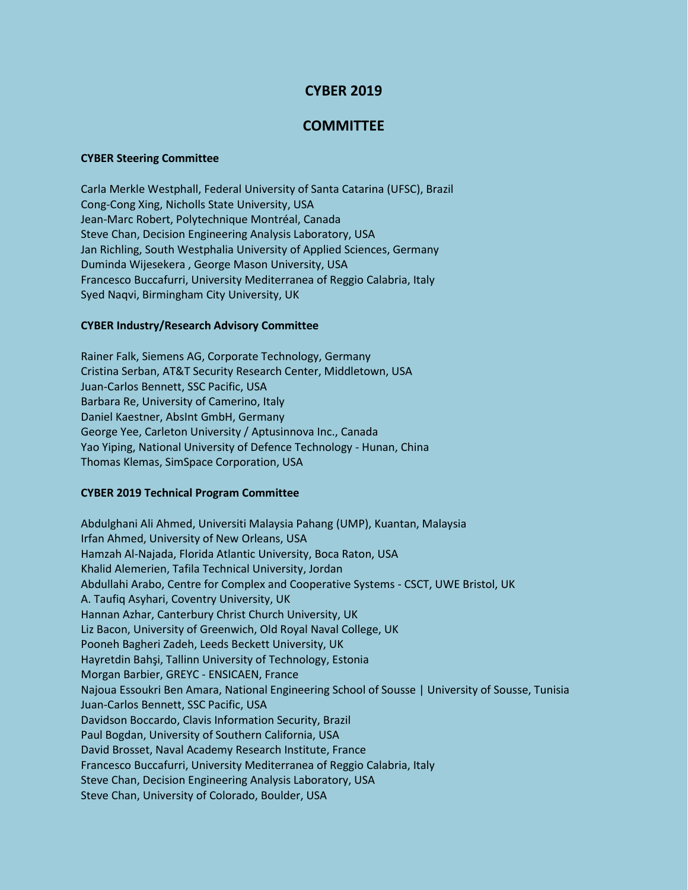# **CYBER 2019**

## **COMMITTEE**

#### **CYBER Steering Committee**

Carla Merkle Westphall, Federal University of Santa Catarina (UFSC), Brazil Cong-Cong Xing, Nicholls State University, USA Jean-Marc Robert, Polytechnique Montréal, Canada Steve Chan, Decision Engineering Analysis Laboratory, USA Jan Richling, South Westphalia University of Applied Sciences, Germany Duminda Wijesekera , George Mason University, USA Francesco Buccafurri, University Mediterranea of Reggio Calabria, Italy Syed Naqvi, Birmingham City University, UK

### **CYBER Industry/Research Advisory Committee**

Rainer Falk, Siemens AG, Corporate Technology, Germany Cristina Serban, AT&T Security Research Center, Middletown, USA Juan-Carlos Bennett, SSC Pacific, USA Barbara Re, University of Camerino, Italy Daniel Kaestner, AbsInt GmbH, Germany George Yee, Carleton University / Aptusinnova Inc., Canada Yao Yiping, National University of Defence Technology - Hunan, China Thomas Klemas, SimSpace Corporation, USA

#### **CYBER 2019 Technical Program Committee**

Abdulghani Ali Ahmed, Universiti Malaysia Pahang (UMP), Kuantan, Malaysia Irfan Ahmed, University of New Orleans, USA Hamzah Al-Najada, Florida Atlantic University, Boca Raton, USA Khalid Alemerien, Tafila Technical University, Jordan Abdullahi Arabo, Centre for Complex and Cooperative Systems - CSCT, UWE Bristol, UK A. Taufiq Asyhari, Coventry University, UK Hannan Azhar, Canterbury Christ Church University, UK Liz Bacon, University of Greenwich, Old Royal Naval College, UK Pooneh Bagheri Zadeh, Leeds Beckett University, UK Hayretdin Bahşi, Tallinn University of Technology, Estonia Morgan Barbier, GREYC - ENSICAEN, France Najoua Essoukri Ben Amara, National Engineering School of Sousse | University of Sousse, Tunisia Juan-Carlos Bennett, SSC Pacific, USA Davidson Boccardo, Clavis Information Security, Brazil Paul Bogdan, University of Southern California, USA David Brosset, Naval Academy Research Institute, France Francesco Buccafurri, University Mediterranea of Reggio Calabria, Italy Steve Chan, Decision Engineering Analysis Laboratory, USA Steve Chan, University of Colorado, Boulder, USA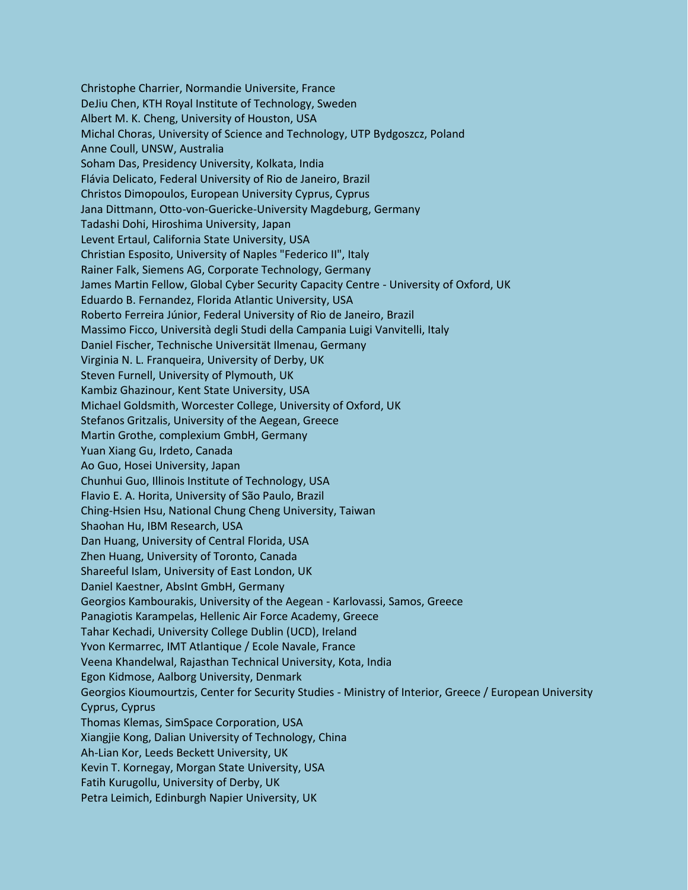Christophe Charrier, Normandie Universite, France DeJiu Chen, KTH Royal Institute of Technology, Sweden Albert M. K. Cheng, University of Houston, USA Michal Choras, University of Science and Technology, UTP Bydgoszcz, Poland Anne Coull, UNSW, Australia Soham Das, Presidency University, Kolkata, India Flávia Delicato, Federal University of Rio de Janeiro, Brazil Christos Dimopoulos, European University Cyprus, Cyprus Jana Dittmann, Otto-von-Guericke-University Magdeburg, Germany Tadashi Dohi, Hiroshima University, Japan Levent Ertaul, California State University, USA Christian Esposito, University of Naples "Federico II", Italy Rainer Falk, Siemens AG, Corporate Technology, Germany James Martin Fellow, Global Cyber Security Capacity Centre - University of Oxford, UK Eduardo B. Fernandez, Florida Atlantic University, USA Roberto Ferreira Júnior, Federal University of Rio de Janeiro, Brazil Massimo Ficco, Università degli Studi della Campania Luigi Vanvitelli, Italy Daniel Fischer, Technische Universität Ilmenau, Germany Virginia N. L. Franqueira, University of Derby, UK Steven Furnell, University of Plymouth, UK Kambiz Ghazinour, Kent State University, USA Michael Goldsmith, Worcester College, University of Oxford, UK Stefanos Gritzalis, University of the Aegean, Greece Martin Grothe, complexium GmbH, Germany Yuan Xiang Gu, Irdeto, Canada Ao Guo, Hosei University, Japan Chunhui Guo, Illinois Institute of Technology, USA Flavio E. A. Horita, University of São Paulo, Brazil Ching-Hsien Hsu, National Chung Cheng University, Taiwan Shaohan Hu, IBM Research, USA Dan Huang, University of Central Florida, USA Zhen Huang, University of Toronto, Canada Shareeful Islam, University of East London, UK Daniel Kaestner, AbsInt GmbH, Germany Georgios Kambourakis, University of the Aegean - Karlovassi, Samos, Greece Panagiotis Karampelas, Hellenic Air Force Academy, Greece Tahar Kechadi, University College Dublin (UCD), Ireland Yvon Kermarrec, IMT Atlantique / Ecole Navale, France Veena Khandelwal, Rajasthan Technical University, Kota, India Egon Kidmose, Aalborg University, Denmark Georgios Kioumourtzis, Center for Security Studies - Ministry of Interior, Greece / European University Cyprus, Cyprus Thomas Klemas, SimSpace Corporation, USA Xiangjie Kong, Dalian University of Technology, China Ah-Lian Kor, Leeds Beckett University, UK Kevin T. Kornegay, Morgan State University, USA Fatih Kurugollu, University of Derby, UK Petra Leimich, Edinburgh Napier University, UK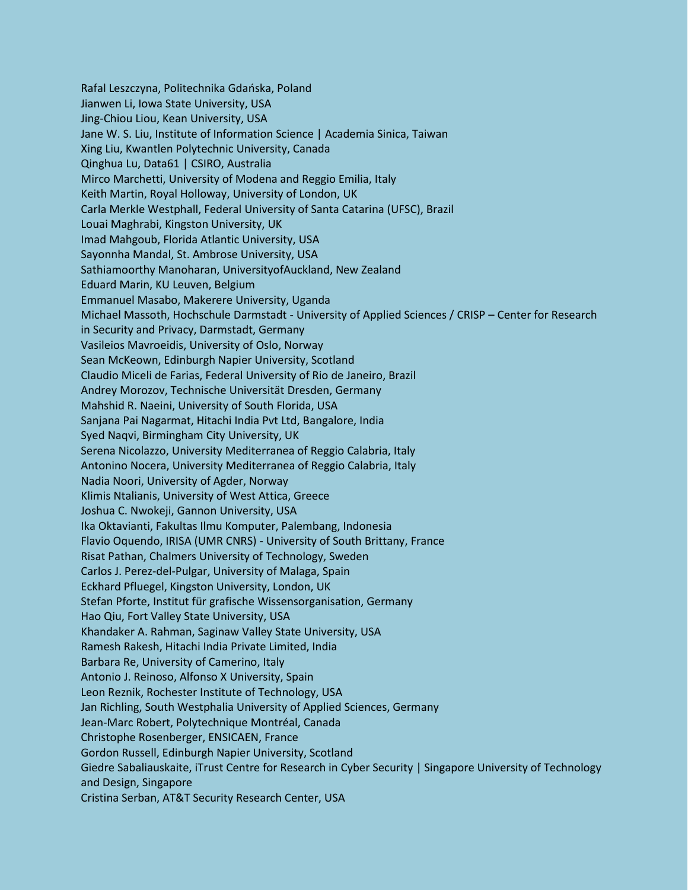Rafal Leszczyna, Politechnika Gdańska, Poland Jianwen Li, Iowa State University, USA Jing-Chiou Liou, Kean University, USA Jane W. S. Liu, Institute of Information Science | Academia Sinica, Taiwan Xing Liu, Kwantlen Polytechnic University, Canada Qinghua Lu, Data61 | CSIRO, Australia Mirco Marchetti, University of Modena and Reggio Emilia, Italy Keith Martin, Royal Holloway, University of London, UK Carla Merkle Westphall, Federal University of Santa Catarina (UFSC), Brazil Louai Maghrabi, Kingston University, UK Imad Mahgoub, Florida Atlantic University, USA Sayonnha Mandal, St. Ambrose University, USA Sathiamoorthy Manoharan, UniversityofAuckland, New Zealand Eduard Marin, KU Leuven, Belgium Emmanuel Masabo, Makerere University, Uganda Michael Massoth, Hochschule Darmstadt - University of Applied Sciences / CRISP – Center for Research in Security and Privacy, Darmstadt, Germany Vasileios Mavroeidis, University of Oslo, Norway Sean McKeown, Edinburgh Napier University, Scotland Claudio Miceli de Farias, Federal University of Rio de Janeiro, Brazil Andrey Morozov, Technische Universität Dresden, Germany Mahshid R. Naeini, University of South Florida, USA Sanjana Pai Nagarmat, Hitachi India Pvt Ltd, Bangalore, India Syed Naqvi, Birmingham City University, UK Serena Nicolazzo, University Mediterranea of Reggio Calabria, Italy Antonino Nocera, University Mediterranea of Reggio Calabria, Italy Nadia Noori, University of Agder, Norway Klimis Ntalianis, University of West Attica, Greece Joshua C. Nwokeji, Gannon University, USA Ika Oktavianti, Fakultas Ilmu Komputer, Palembang, Indonesia Flavio Oquendo, IRISA (UMR CNRS) - University of South Brittany, France Risat Pathan, Chalmers University of Technology, Sweden Carlos J. Perez-del-Pulgar, University of Malaga, Spain Eckhard Pfluegel, Kingston University, London, UK Stefan Pforte, Institut für grafische Wissensorganisation, Germany Hao Qiu, Fort Valley State University, USA Khandaker A. Rahman, Saginaw Valley State University, USA Ramesh Rakesh, Hitachi India Private Limited, India Barbara Re, University of Camerino, Italy Antonio J. Reinoso, Alfonso X University, Spain Leon Reznik, Rochester Institute of Technology, USA Jan Richling, South Westphalia University of Applied Sciences, Germany Jean-Marc Robert, Polytechnique Montréal, Canada Christophe Rosenberger, ENSICAEN, France Gordon Russell, Edinburgh Napier University, Scotland Giedre Sabaliauskaite, iTrust Centre for Research in Cyber Security | Singapore University of Technology and Design, Singapore Cristina Serban, AT&T Security Research Center, USA